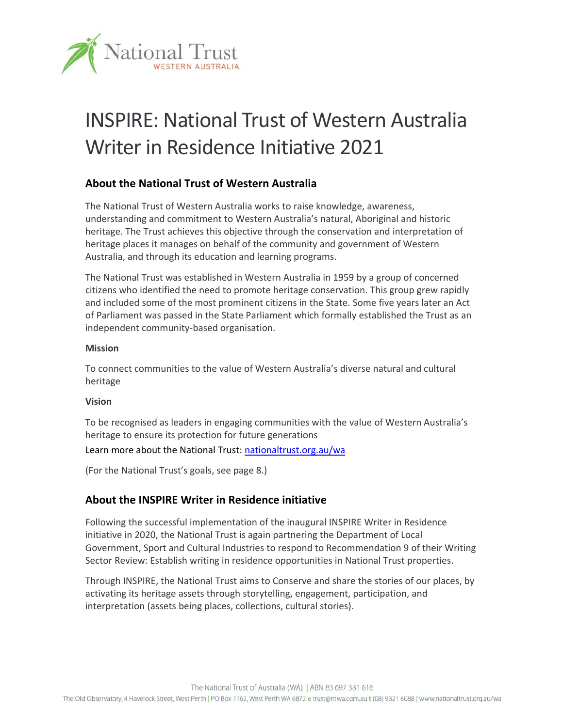

# INSPIRE: National Trust of Western Australia Writer in Residence Initiative 2021

## **About the National Trust of Western Australia**

The National Trust of Western Australia works to raise knowledge, awareness, understanding and commitment to Western Australia's natural, Aboriginal and historic heritage. The Trust achieves this objective through the conservation and interpretation of heritage places it manages on behalf of the community and government of Western Australia, and through its education and learning programs.

The National Trust was established in Western Australia in 1959 by a group of concerned citizens who identified the need to promote heritage conservation. This group grew rapidly and included some of the most prominent citizens in the State. Some five years later an Act of Parliament was passed in the State Parliament which formally established the Trust as an independent community‐based organisation.

#### **Mission**

To connect communities to the value of Western Australia's diverse natural and cultural heritage

#### **Vision**

To be recognised as leaders in engaging communities with the value of Western Australia's heritage to ensure its protection for future generations

#### Learn more about the National Trust: nationaltrust.org.au/wa

(For the National Trust's goals, see page 8.)

## **About the INSPIRE Writer in Residence initiative**

Following the successful implementation of the inaugural INSPIRE Writer in Residence initiative in 2020, the National Trust is again partnering the Department of Local Government, Sport and Cultural Industries to respond to Recommendation 9 of their Writing Sector Review: Establish writing in residence opportunities in National Trust properties.

Through INSPIRE, the National Trust aims to Conserve and share the stories of our places, by activating its heritage assets through storytelling, engagement, participation, and interpretation (assets being places, collections, cultural stories).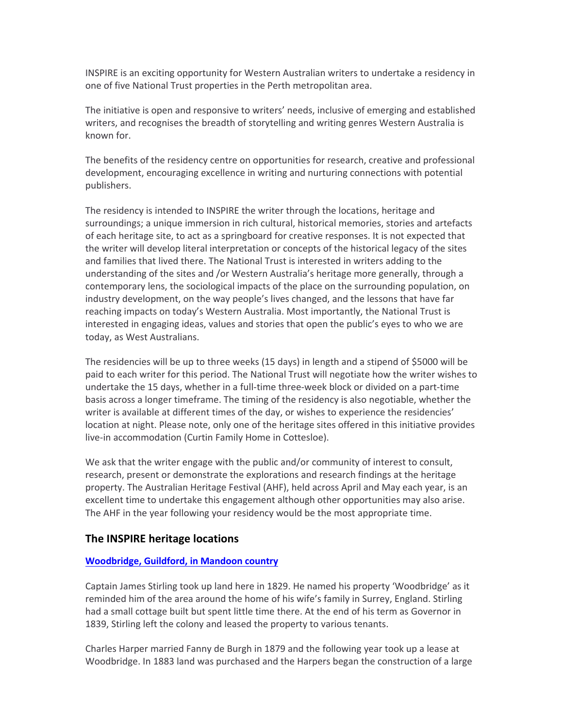INSPIRE is an exciting opportunity for Western Australian writers to undertake a residency in one of five National Trust properties in the Perth metropolitan area.

The initiative is open and responsive to writers' needs, inclusive of emerging and established writers, and recognises the breadth of storytelling and writing genres Western Australia is known for.

The benefits of the residency centre on opportunities for research, creative and professional development, encouraging excellence in writing and nurturing connections with potential publishers.

The residency is intended to INSPIRE the writer through the locations, heritage and surroundings; a unique immersion in rich cultural, historical memories, stories and artefacts of each heritage site, to act as a springboard for creative responses. It is not expected that the writer will develop literal interpretation or concepts of the historical legacy of the sites and families that lived there. The National Trust is interested in writers adding to the understanding of the sites and /or Western Australia's heritage more generally, through a contemporary lens, the sociological impacts of the place on the surrounding population, on industry development, on the way people's lives changed, and the lessons that have far reaching impacts on today's Western Australia. Most importantly, the National Trust is interested in engaging ideas, values and stories that open the public's eyes to who we are today, as West Australians.

The residencies will be up to three weeks (15 days) in length and a stipend of \$5000 will be paid to each writer for this period. The National Trust will negotiate how the writer wishes to undertake the 15 days, whether in a full‐time three‐week block or divided on a part‐time basis across a longer timeframe. The timing of the residency is also negotiable, whether the writer is available at different times of the day, or wishes to experience the residencies' location at night. Please note, only one of the heritage sites offered in this initiative provides live‐in accommodation (Curtin Family Home in Cottesloe).

We ask that the writer engage with the public and/or community of interest to consult, research, present or demonstrate the explorations and research findings at the heritage property. The Australian Heritage Festival (AHF), held across April and May each year, is an excellent time to undertake this engagement although other opportunities may also arise. The AHF in the year following your residency would be the most appropriate time.

#### **The INSPIRE heritage locations**

#### **Woodbridge, Guildford, in Mandoon country**

Captain James Stirling took up land here in 1829. He named his property 'Woodbridge' as it reminded him of the area around the home of his wife's family in Surrey, England. Stirling had a small cottage built but spent little time there. At the end of his term as Governor in 1839, Stirling left the colony and leased the property to various tenants.

Charles Harper married Fanny de Burgh in 1879 and the following year took up a lease at Woodbridge. In 1883 land was purchased and the Harpers began the construction of a large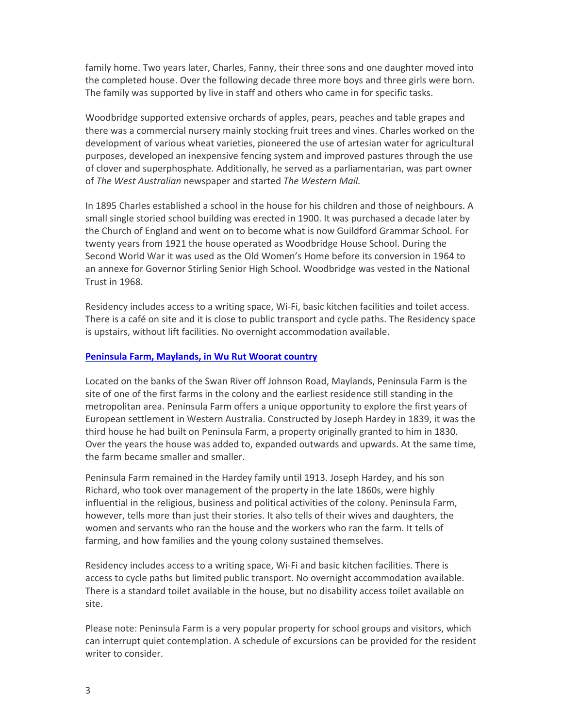family home. Two years later, Charles, Fanny, their three sons and one daughter moved into the completed house. Over the following decade three more boys and three girls were born. The family was supported by live in staff and others who came in for specific tasks.

Woodbridge supported extensive orchards of apples, pears, peaches and table grapes and there was a commercial nursery mainly stocking fruit trees and vines. Charles worked on the development of various wheat varieties, pioneered the use of artesian water for agricultural purposes, developed an inexpensive fencing system and improved pastures through the use of clover and superphosphate. Additionally, he served as a parliamentarian, was part owner of *The West Australian* newspaper and started *The Western Mail.*

In 1895 Charles established a school in the house for his children and those of neighbours. A small single storied school building was erected in 1900. It was purchased a decade later by the Church of England and went on to become what is now Guildford Grammar School. For twenty years from 1921 the house operated as Woodbridge House School. During the Second World War it was used as the Old Women's Home before its conversion in 1964 to an annexe for Governor Stirling Senior High School. Woodbridge was vested in the National Trust in 1968.

Residency includes access to a writing space, Wi‐Fi, basic kitchen facilities and toilet access. There is a café on site and it is close to public transport and cycle paths. The Residency space is upstairs, without lift facilities. No overnight accommodation available.

#### **Peninsula Farm, Maylands, in Wu Rut Woorat country**

Located on the banks of the Swan River off Johnson Road, Maylands, Peninsula Farm is the site of one of the first farms in the colony and the earliest residence still standing in the metropolitan area. Peninsula Farm offers a unique opportunity to explore the first years of European settlement in Western Australia. Constructed by Joseph Hardey in 1839, it was the third house he had built on Peninsula Farm, a property originally granted to him in 1830. Over the years the house was added to, expanded outwards and upwards. At the same time, the farm became smaller and smaller.

Peninsula Farm remained in the Hardey family until 1913. Joseph Hardey, and his son Richard, who took over management of the property in the late 1860s, were highly influential in the religious, business and political activities of the colony. Peninsula Farm, however, tells more than just their stories. It also tells of their wives and daughters, the women and servants who ran the house and the workers who ran the farm. It tells of farming, and how families and the young colony sustained themselves.

Residency includes access to a writing space, Wi‐Fi and basic kitchen facilities. There is access to cycle paths but limited public transport. No overnight accommodation available. There is a standard toilet available in the house, but no disability access toilet available on site.

Please note: Peninsula Farm is a very popular property for school groups and visitors, which can interrupt quiet contemplation. A schedule of excursions can be provided for the resident writer to consider.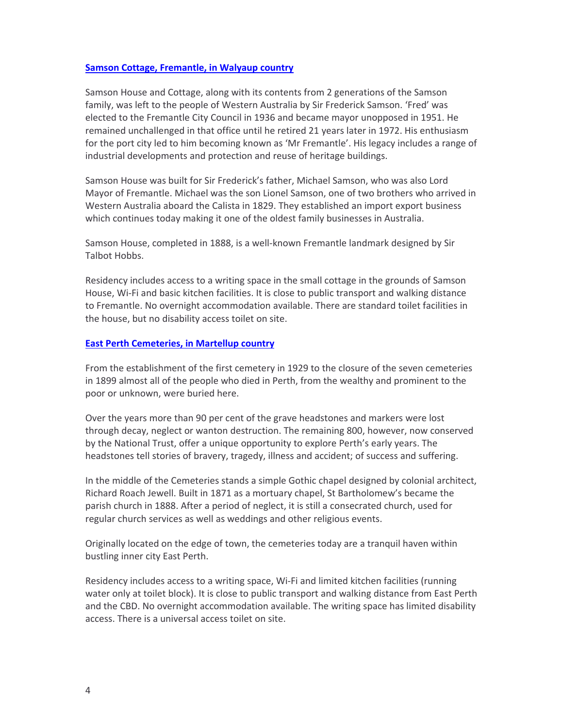#### **Samson Cottage, Fremantle, in Walyaup country**

Samson House and Cottage, along with its contents from 2 generations of the Samson family, was left to the people of Western Australia by Sir Frederick Samson. 'Fred' was elected to the Fremantle City Council in 1936 and became mayor unopposed in 1951. He remained unchallenged in that office until he retired 21 years later in 1972. His enthusiasm for the port city led to him becoming known as 'Mr Fremantle'. His legacy includes a range of industrial developments and protection and reuse of heritage buildings.

Samson House was built for Sir Frederick's father, Michael Samson, who was also Lord Mayor of Fremantle. Michael was the son Lionel Samson, one of two brothers who arrived in Western Australia aboard the Calista in 1829. They established an import export business which continues today making it one of the oldest family businesses in Australia.

Samson House, completed in 1888, is a well‐known Fremantle landmark designed by Sir Talbot Hobbs.

Residency includes access to a writing space in the small cottage in the grounds of Samson House, Wi‐Fi and basic kitchen facilities. It is close to public transport and walking distance to Fremantle. No overnight accommodation available. There are standard toilet facilities in the house, but no disability access toilet on site.

#### **East Perth Cemeteries, in Martellup country**

From the establishment of the first cemetery in 1929 to the closure of the seven cemeteries in 1899 almost all of the people who died in Perth, from the wealthy and prominent to the poor or unknown, were buried here.

Over the years more than 90 per cent of the grave headstones and markers were lost through decay, neglect or wanton destruction. The remaining 800, however, now conserved by the National Trust, offer a unique opportunity to explore Perth's early years. The headstones tell stories of bravery, tragedy, illness and accident; of success and suffering.

In the middle of the Cemeteries stands a simple Gothic chapel designed by colonial architect, Richard Roach Jewell. Built in 1871 as a mortuary chapel, St Bartholomew's became the parish church in 1888. After a period of neglect, it is still a consecrated church, used for regular church services as well as weddings and other religious events.

Originally located on the edge of town, the cemeteries today are a tranquil haven within bustling inner city East Perth.

Residency includes access to a writing space, Wi‐Fi and limited kitchen facilities (running water only at toilet block). It is close to public transport and walking distance from East Perth and the CBD. No overnight accommodation available. The writing space has limited disability access. There is a universal access toilet on site.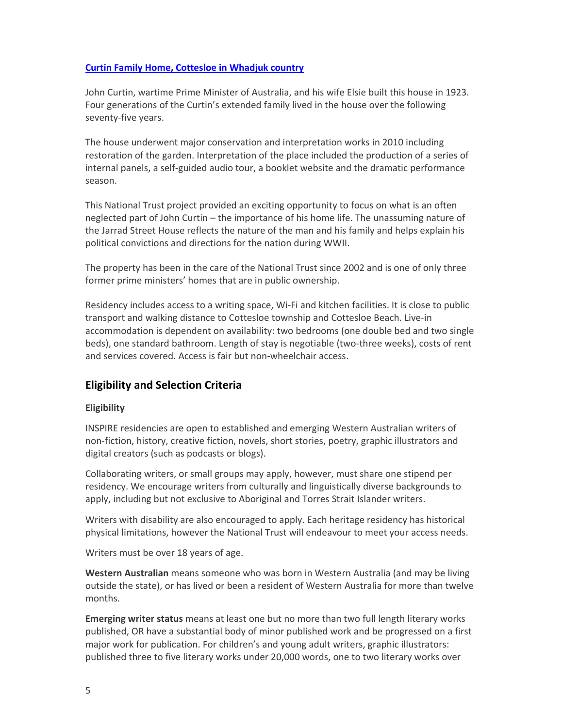#### **Curtin Family Home, Cottesloe in Whadjuk country**

John Curtin, wartime Prime Minister of Australia, and his wife Elsie built this house in 1923. Four generations of the Curtin's extended family lived in the house over the following seventy‐five years.

The house underwent major conservation and interpretation works in 2010 including restoration of the garden. Interpretation of the place included the production of a series of internal panels, a self‐guided audio tour, a booklet website and the dramatic performance season.

This National Trust project provided an exciting opportunity to focus on what is an often neglected part of John Curtin – the importance of his home life. The unassuming nature of the Jarrad Street House reflects the nature of the man and his family and helps explain his political convictions and directions for the nation during WWII.

The property has been in the care of the National Trust since 2002 and is one of only three former prime ministers' homes that are in public ownership.

Residency includes access to a writing space, Wi‐Fi and kitchen facilities. It is close to public transport and walking distance to Cottesloe township and Cottesloe Beach. Live‐in accommodation is dependent on availability: two bedrooms (one double bed and two single beds), one standard bathroom. Length of stay is negotiable (two‐three weeks), costs of rent and services covered. Access is fair but non‐wheelchair access.

## **Eligibility and Selection Criteria**

#### **Eligibility**

INSPIRE residencies are open to established and emerging Western Australian writers of non‐fiction, history, creative fiction, novels, short stories, poetry, graphic illustrators and digital creators (such as podcasts or blogs).

Collaborating writers, or small groups may apply, however, must share one stipend per residency. We encourage writers from culturally and linguistically diverse backgrounds to apply, including but not exclusive to Aboriginal and Torres Strait Islander writers.

Writers with disability are also encouraged to apply. Each heritage residency has historical physical limitations, however the National Trust will endeavour to meet your access needs.

Writers must be over 18 years of age.

**Western Australian** means someone who was born in Western Australia (and may be living outside the state), or has lived or been a resident of Western Australia for more than twelve months.

**Emerging writer status** means at least one but no more than two full length literary works published, OR have a substantial body of minor published work and be progressed on a first major work for publication. For children's and young adult writers, graphic illustrators: published three to five literary works under 20,000 words, one to two literary works over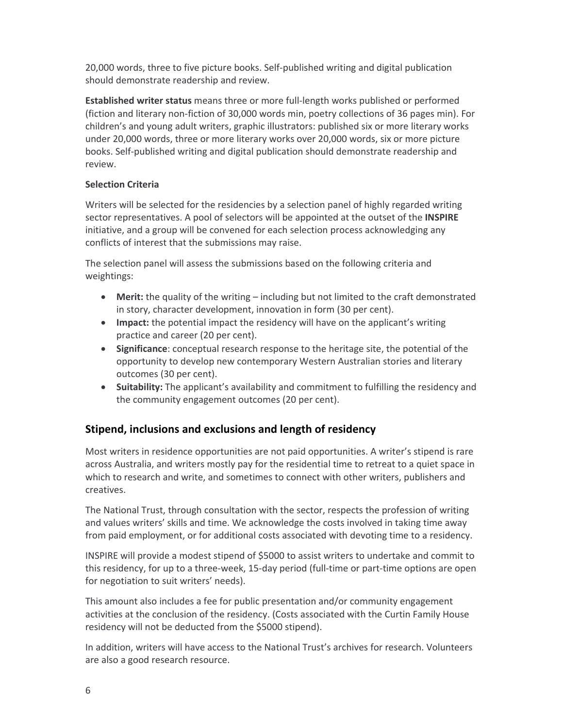20,000 words, three to five picture books. Self‐published writing and digital publication should demonstrate readership and review.

**Established writer status** means three or more full‐length works published or performed (fiction and literary non‐fiction of 30,000 words min, poetry collections of 36 pages min). For children's and young adult writers, graphic illustrators: published six or more literary works under 20,000 words, three or more literary works over 20,000 words, six or more picture books. Self‐published writing and digital publication should demonstrate readership and review.

### **Selection Criteria**

Writers will be selected for the residencies by a selection panel of highly regarded writing sector representatives. A pool of selectors will be appointed at the outset of the **INSPIRE** initiative, and a group will be convened for each selection process acknowledging any conflicts of interest that the submissions may raise.

The selection panel will assess the submissions based on the following criteria and weightings:

- **Merit:** the quality of the writing including but not limited to the craft demonstrated in story, character development, innovation in form (30 per cent).
- **Impact:** the potential impact the residency will have on the applicant's writing practice and career (20 per cent).
- **Significance**: conceptual research response to the heritage site, the potential of the opportunity to develop new contemporary Western Australian stories and literary outcomes (30 per cent).
- **Suitability:** The applicant's availability and commitment to fulfilling the residency and the community engagement outcomes (20 per cent).

# **Stipend, inclusions and exclusions and length of residency**

Most writers in residence opportunities are not paid opportunities. A writer's stipend is rare across Australia, and writers mostly pay for the residential time to retreat to a quiet space in which to research and write, and sometimes to connect with other writers, publishers and creatives.

The National Trust, through consultation with the sector, respects the profession of writing and values writers' skills and time. We acknowledge the costs involved in taking time away from paid employment, or for additional costs associated with devoting time to a residency.

INSPIRE will provide a modest stipend of \$5000 to assist writers to undertake and commit to this residency, for up to a three-week, 15-day period (full-time or part-time options are open for negotiation to suit writers' needs).

This amount also includes a fee for public presentation and/or community engagement activities at the conclusion of the residency. (Costs associated with the Curtin Family House residency will not be deducted from the \$5000 stipend).

In addition, writers will have access to the National Trust's archives for research. Volunteers are also a good research resource.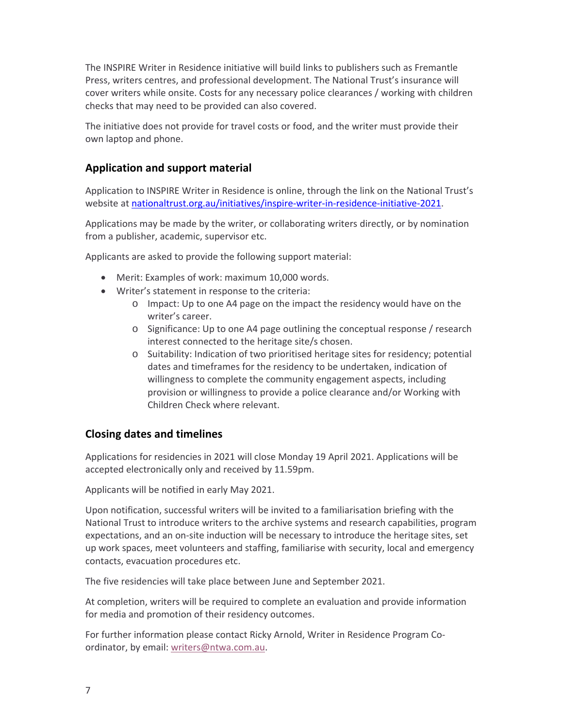The INSPIRE Writer in Residence initiative will build links to publishers such as Fremantle Press, writers centres, and professional development. The National Trust's insurance will cover writers while onsite. Costs for any necessary police clearances / working with children checks that may need to be provided can also covered.

The initiative does not provide for travel costs or food, and the writer must provide their own laptop and phone.

## **Application and support material**

Application to INSPIRE Writer in Residence is online, through the link on the National Trust's website at nationaltrust.org.au/initiatives/inspire-writer-in-residence-initiative-2021.

Applications may be made by the writer, or collaborating writers directly, or by nomination from a publisher, academic, supervisor etc.

Applicants are asked to provide the following support material:

- Merit: Examples of work: maximum 10,000 words.
- Writer's statement in response to the criteria:
	- o Impact: Up to one A4 page on the impact the residency would have on the writer's career.
	- o Significance: Up to one A4 page outlining the conceptual response / research interest connected to the heritage site/s chosen.
	- o Suitability: Indication of two prioritised heritage sites for residency; potential dates and timeframes for the residency to be undertaken, indication of willingness to complete the community engagement aspects, including provision or willingness to provide a police clearance and/or Working with Children Check where relevant.

## **Closing dates and timelines**

Applications for residencies in 2021 will close Monday 19 April 2021. Applications will be accepted electronically only and received by 11.59pm.

Applicants will be notified in early May 2021.

Upon notification, successful writers will be invited to a familiarisation briefing with the National Trust to introduce writers to the archive systems and research capabilities, program expectations, and an on‐site induction will be necessary to introduce the heritage sites, set up work spaces, meet volunteers and staffing, familiarise with security, local and emergency contacts, evacuation procedures etc.

The five residencies will take place between June and September 2021.

At completion, writers will be required to complete an evaluation and provide information for media and promotion of their residency outcomes.

For further information please contact Ricky Arnold, Writer in Residence Program Co‐ ordinator, by email: writers@ntwa.com.au.